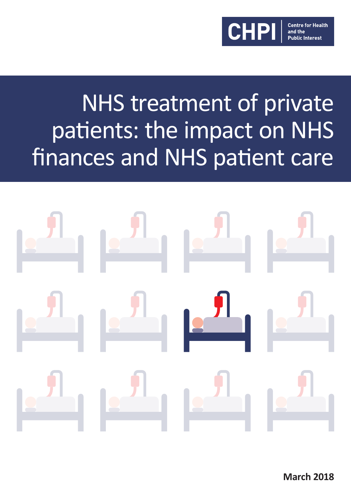

# NHS treatment of private patients: the impact on NHS finances and NHS patient care



**March 2018**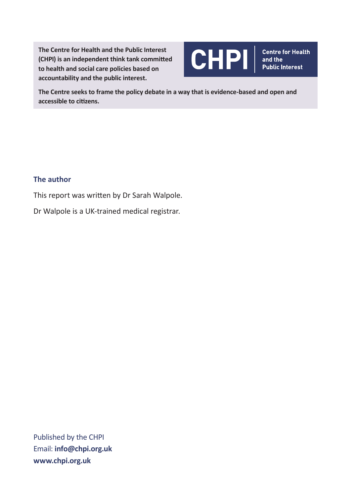**The Centre for Health and the Public Interest (CHPI) is an independent think tank committed to health and social care policies based on accountability and the public interest.** 



**The Centre seeks to frame the policy debate in a way that is evidence-based and open and accessible to citizens.**

#### **The author**

This report was written by Dr Sarah Walpole.

Dr Walpole is a UK-trained medical registrar.

Published by the CHPI Email: **info@chpi.org.uk www.chpi.org.uk**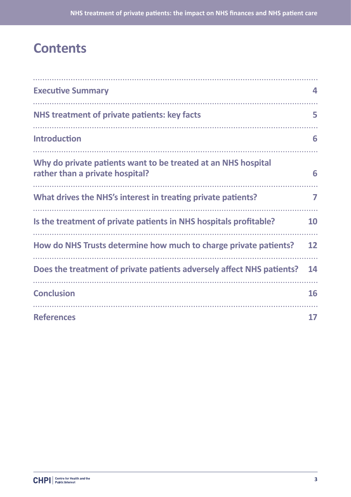### **Contents**

| <b>Executive Summary</b>                                                                         | 4         |
|--------------------------------------------------------------------------------------------------|-----------|
| NHS treatment of private patients: key facts                                                     | 5         |
| <b>Introduction</b>                                                                              | 6         |
| Why do private patients want to be treated at an NHS hospital<br>rather than a private hospital? | 6         |
| What drives the NHS's interest in treating private patients?                                     | 7         |
| Is the treatment of private patients in NHS hospitals profitable?                                | <b>10</b> |
| How do NHS Trusts determine how much to charge private patients?                                 | 12        |
| Does the treatment of private patients adversely affect NHS patients?                            | 14        |
| <b>Conclusion</b>                                                                                | 16        |
| <b>References</b>                                                                                | 17        |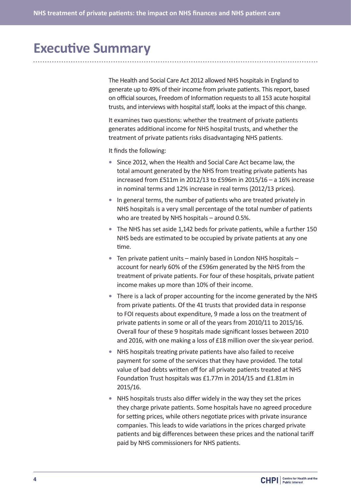# **Executive Summary**

The Health and Social Care Act 2012 allowed NHS hospitals in England to generate up to 49% of their income from private patients. This report, based on official sources, Freedom of Information requests to all 153 acute hospital trusts, and interviews with hospital staff, looks at the impact of this change.

It examines two questions: whether the treatment of private patients generates additional income for NHS hospital trusts, and whether the treatment of private patients risks disadvantaging NHS patients.

It finds the following:

- **•** Since 2012, when the Health and Social Care Act became law, the total amount generated by the NHS from treating private patients has increased from £511m in 2012/13 to £596m in 2015/16 – a 16% increase in nominal terms and 12% increase in real terms (2012/13 prices).
- **•** In general terms, the number of patients who are treated privately in NHS hospitals is a very small percentage of the total number of patients who are treated by NHS hospitals – around 0.5%.
- **•** The NHS has set aside 1,142 beds for private patients, while a further 150 NHS beds are estimated to be occupied by private patients at any one time.
- **•** Ten private patient units mainly based in London NHS hospitals account for nearly 60% of the £596m generated by the NHS from the treatment of private patients. For four of these hospitals, private patient income makes up more than 10% of their income.
- **•** There is a lack of proper accounting for the income generated by the NHS from private patients. Of the 41 trusts that provided data in response to FOI requests about expenditure, 9 made a loss on the treatment of private patients in some or all of the years from 2010/11 to 2015/16. Overall four of these 9 hospitals made significant losses between 2010 and 2016, with one making a loss of £18 million over the six-year period.
- **•** NHS hospitals treating private patients have also failed to receive payment for some of the services that they have provided. The total value of bad debts written off for all private patients treated at NHS Foundation Trust hospitals was £1.77m in 2014/15 and £1.81m in 2015/16.
- **•** NHS hospitals trusts also differ widely in the way they set the prices they charge private patients. Some hospitals have no agreed procedure for setting prices, while others negotiate prices with private insurance companies. This leads to wide variations in the prices charged private patients and big differences between these prices and the national tariff paid by NHS commissioners for NHS patients.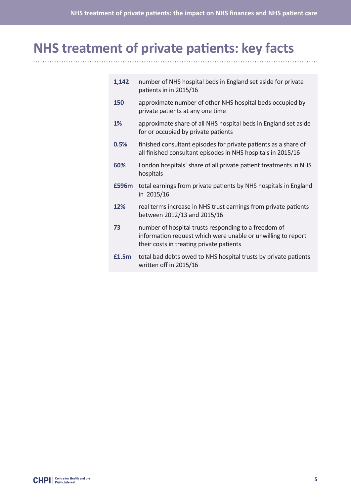# **NHS treatment of private patients: key facts**

| 1,142 | number of NHS hospital beds in England set aside for private<br>patients in in 2015/16                                                                           |
|-------|------------------------------------------------------------------------------------------------------------------------------------------------------------------|
| 150   | approximate number of other NHS hospital beds occupied by<br>private patients at any one time                                                                    |
| 1%    | approximate share of all NHS hospital beds in England set aside<br>for or occupied by private patients                                                           |
| 0.5%  | finished consultant episodes for private patients as a share of<br>all finished consultant episodes in NHS hospitals in 2015/16                                  |
| 60%   | London hospitals' share of all private patient treatments in NHS<br>hospitals                                                                                    |
| £596m | total earnings from private patients by NHS hospitals in England<br>in 2015/16                                                                                   |
| 12%   | real terms increase in NHS trust earnings from private patients<br>between 2012/13 and 2015/16                                                                   |
| 73    | number of hospital trusts responding to a freedom of<br>information request which were unable or unwilling to report<br>their costs in treating private patients |
| £1.5m | total bad debts owed to NHS hospital trusts by private patients<br>written off in 2015/16                                                                        |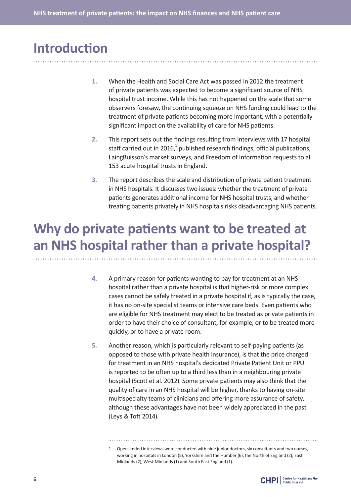## **Introduction**

- **1.** When the Health and Social Care Act was passed in 2012 the treatment of private patients was expected to become a significant source of NHS hospital trust income. While this has not happened on the scale that some observers foresaw, the continuing squeeze on NHS funding could lead to the treatment of private patients becoming more important, with a potentially significant impact on the availability of care for NHS patients.
- **2.** This report sets out the findings resulting from interviews with 17 hospital staff carried out in 2016, $^1$  published research findings, official publications, LaingBuisson's market surveys, and Freedom of Information requests to all 153 acute hospital trusts in England.
- **3.** The report describes the scale and distribution of private patient treatment in NHS hospitals. It discusses two issues: whether the treatment of private patients generates additional income for NHS hospital trusts, and whether treating patients privately in NHS hospitals risks disadvantaging NHS patients.

# **Why do private patients want to be treated at an NHS hospital rather than a private hospital?**

- **4.** A primary reason for patients wanting to pay for treatment at an NHS hospital rather than a private hospital is that higher-risk or more complex cases cannot be safely treated in a private hospital if, as is typically the case, it has no on-site specialist teams or intensive care beds. Even patients who are eligible for NHS treatment may elect to be treated as private patients in order to have their choice of consultant, for example, or to be treated more quickly, or to have a private room.
- **5.** Another reason, which is particularly relevant to self-paying patients (as opposed to those with private health insurance), is that the price charged for treatment in an NHS hospital's dedicated Private Patient Unit or PPU is reported to be often up to a third less than in a neighbouring private hospital (Scott et al. 2012). Some private patients may also think that the quality of care in an NHS hospital will be higher, thanks to having on-site multispecialty teams of clinicians and offering more assurance of safety, although these advantages have not been widely appreciated in the past (Leys & Toft 2014).
	- 1 Open-ended interviews were conducted with nine junior doctors, six consultants and two nurses, working in hospitals in London (5), Yorkshire and the Humber (6), the North of England (2), East Midlands (2), West Midlands (1) and South East England (1).

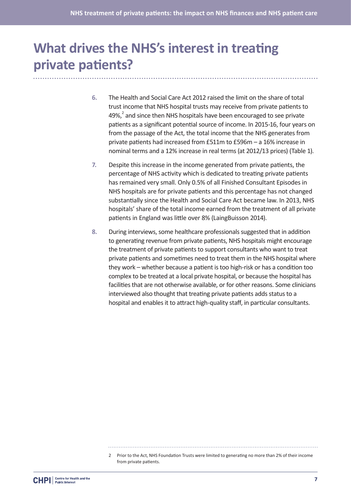# **What drives the NHS's interest in treating private patients?**

- **6.** The Health and Social Care Act 2012 raised the limit on the share of total trust income that NHS hospital trusts may receive from private patients to 49%, $^2$  and since then NHS hospitals have been encouraged to see private patients as a significant potential source of income. In 2015-16, four years on from the passage of the Act, the total income that the NHS generates from private patients had increased from £511m to £596m – a 16% increase in nominal terms and a 12% increase in real terms (at 2012/13 prices) (Table 1).
- **7.** Despite this increase in the income generated from private patients, the percentage of NHS activity which is dedicated to treating private patients has remained very small. Only 0.5% of all Finished Consultant Episodes in NHS hospitals are for private patients and this percentage has not changed substantially since the Health and Social Care Act became law. In 2013, NHS hospitals' share of the total income earned from the treatment of all private patients in England was little over 8% (LaingBuisson 2014).
- **8.** During interviews, some healthcare professionals suggested that in addition to generating revenue from private patients, NHS hospitals might encourage the treatment of private patients to support consultants who want to treat private patients and sometimes need to treat them in the NHS hospital where they work – whether because a patient is too high-risk or has a condition too complex to be treated at a local private hospital, or because the hospital has facilities that are not otherwise available, or for other reasons. Some clinicians interviewed also thought that treating private patients adds status to a hospital and enables it to attract high-quality staff, in particular consultants.

<sup>2</sup> Prior to the Act, NHS Foundation Trusts were limited to generating no more than 2% of their income from private patients.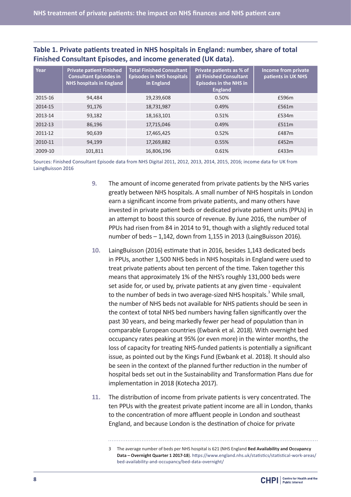#### **Table 1. Private patients treated in NHS hospitals in England: number, share of total Finished Consultant Episodes, and income generated (UK data).**

| Year    | <b>Private patient Finished</b><br><b>Consultant Episodes in</b><br><b>NHS hospitals in England</b> | <b>Total Finished Consultant</b><br><b>Episodes in NHS hospitals</b><br>in England | Private patients as % of<br>all Finished Consultant<br><b>Episodes in the NHS in</b><br><b>England</b> | <b>Income from private</b><br>patients in UK NHS |
|---------|-----------------------------------------------------------------------------------------------------|------------------------------------------------------------------------------------|--------------------------------------------------------------------------------------------------------|--------------------------------------------------|
| 2015-16 | 94,484                                                                                              | 19,239,608                                                                         | 0.50%                                                                                                  | £596m                                            |
| 2014-15 | 91,176                                                                                              | 18,731,987                                                                         | 0.49%                                                                                                  | £561m                                            |
| 2013-14 | 93,182                                                                                              | 18,163,101                                                                         | 0.51%                                                                                                  | £534m                                            |
| 2012-13 | 86,196                                                                                              | 17,715,046                                                                         | 0.49%                                                                                                  | £511m                                            |
| 2011-12 | 90,639                                                                                              | 17,465,425                                                                         | 0.52%                                                                                                  | £487m                                            |
| 2010-11 | 94,199                                                                                              | 17,269,882                                                                         | 0.55%                                                                                                  | £452m                                            |
| 2009-10 | 101.811                                                                                             | 16.806.196                                                                         | 0.61%                                                                                                  | £433m                                            |

Sources: Finished Consultant Episode data from NHS Digital 2011, 2012, 2013, 2014, 2015, 2016; income data for UK from LaingBuisson 2016

- **9.** The amount of income generated from private patients by the NHS varies greatly between NHS hospitals. A small number of NHS hospitals in London earn a significant income from private patients, and many others have invested in private patient beds or dedicated private patient units (PPUs) in an attempt to boost this source of revenue. By June 2016, the number of PPUs had risen from 84 in 2014 to 91, though with a slightly reduced total number of beds – 1,142, down from 1,155 in 2013 (LaingBuisson 2016).
- **10.** LaingBuisson (2016) estimate that in 2016, besides 1,143 dedicated beds in PPUs, another 1,500 NHS beds in NHS hospitals in England were used to treat private patients about ten percent of the time. Taken together this means that approximately 1% of the NHS's roughly 131,000 beds were set aside for, or used by, private patients at any given time - equivalent to the number of beds in two average-sized NHS hospitals.<sup>3</sup> While small, the number of NHS beds not available for NHS patients should be seen in the context of total NHS bed numbers having fallen significantly over the past 30 years, and being markedly fewer per head of population than in comparable European countries (Ewbank et al. 2018). With overnight bed occupancy rates peaking at 95% (or even more) in the winter months, the loss of capacity for treating NHS-funded patients is potentially a significant issue, as pointed out by the Kings Fund (Ewbank et al. 2018). It should also be seen in the context of the planned further reduction in the number of hospital beds set out in the Sustainability and Transformation Plans due for implementation in 2018 (Kotecha 2017).
- **11.** The distribution of income from private patients is very concentrated. The ten PPUs with the greatest private patient income are all in London, thanks to the concentration of more affluent people in London and southeast England, and because London is the destination of choice for private
	- 3 The average number of beds per NHS hospital is 621 (NHS England **Bed Availability and Occupancy Data – Overnight Quarter 1 2017-18**). https://www.england.nhs.uk/statistics/statistical-work-areas/ bed-availability-and-occupancy/bed-data-overnight/

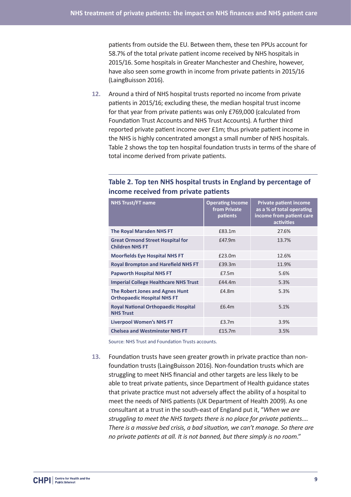patients from outside the EU. Between them, these ten PPUs account for 58.7% of the total private patient income received by NHS hospitals in 2015/16. Some hospitals in Greater Manchester and Cheshire, however, have also seen some growth in income from private patients in 2015/16 (LaingBuisson 2016).

**12.** Around a third of NHS hospital trusts reported no income from private patients in 2015/16; excluding these, the median hospital trust income for that year from private patients was only £769,000 (calculated from Foundation Trust Accounts and NHS Trust Accounts). A further third reported private patient income over £1m; thus private patient income in the NHS is highly concentrated amongst a small number of NHS hospitals. Table 2 shows the top ten hospital foundation trusts in terms of the share of total income derived from private patients.

| <b>NHS Trust/FT name</b>                                              | <b>Operating Income</b><br>from Private<br>patients | <b>Private patient income</b><br>as a % of total operating<br>income from patient care<br>activities |
|-----------------------------------------------------------------------|-----------------------------------------------------|------------------------------------------------------------------------------------------------------|
| <b>The Royal Marsden NHS FT</b>                                       | £83.1m                                              | 27.6%                                                                                                |
| <b>Great Ormond Street Hospital for</b><br><b>Children NHS FT</b>     | £47.9m                                              | 13.7%                                                                                                |
| <b>Moorfields Eye Hospital NHS FT</b>                                 | £23.0m                                              | 12.6%                                                                                                |
| <b>Royal Brompton and Harefield NHS FT</b>                            | £39.3m                                              | 11.9%                                                                                                |
| <b>Papworth Hospital NHS FT</b>                                       | £7.5m                                               | 5.6%                                                                                                 |
| <b>Imperial College Healthcare NHS Trust</b>                          | f44.4m                                              | 5.3%                                                                                                 |
| The Robert Jones and Agnes Hunt<br><b>Orthopaedic Hospital NHS FT</b> | £4.8m                                               | 5.3%                                                                                                 |
| <b>Royal National Orthopaedic Hospital</b><br><b>NHS Trust</b>        | £6.4m                                               | 5.1%                                                                                                 |
| <b>Liverpool Women's NHS FT</b>                                       | £3.7m                                               | 3.9%                                                                                                 |
| <b>Chelsea and Westminster NHS FT</b>                                 | £15.7m                                              | 3.5%                                                                                                 |

#### **Table 2. Top ten NHS hospital trusts in England by percentage of income received from private patients**

Source: NHS Trust and Foundation Trusts accounts.

**13.** Foundation trusts have seen greater growth in private practice than nonfoundation trusts (LaingBuisson 2016). Non-foundation trusts which are struggling to meet NHS financial and other targets are less likely to be able to treat private patients, since Department of Health guidance states that private practice must not adversely affect the ability of a hospital to meet the needs of NHS patients (UK Department of Health 2009). As one consultant at a trust in the south-east of England put it, "*When we are struggling to meet the NHS targets there is no place for private patients…. There is a massive bed crisis, a bad situation, we can't manage. So there are no private patients at all. It is not banned, but there simply is no room*."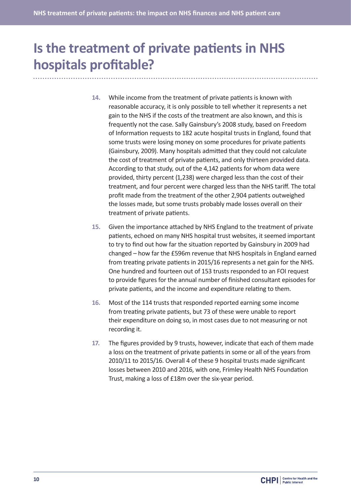# **Is the treatment of private patients in NHS hospitals profitable?**

- **14.** While income from the treatment of private patients is known with reasonable accuracy, it is only possible to tell whether it represents a net gain to the NHS if the costs of the treatment are also known, and this is frequently not the case. Sally Gainsbury's 2008 study, based on Freedom of Information requests to 182 acute hospital trusts in England, found that some trusts were losing money on some procedures for private patients (Gainsbury, 2009). Many hospitals admitted that they could not calculate the cost of treatment of private patients, and only thirteen provided data. According to that study, out of the 4,142 patients for whom data were provided, thirty percent (1,238) were charged less than the cost of their treatment, and four percent were charged less than the NHS tariff. The total profit made from the treatment of the other 2,904 patients outweighed the losses made, but some trusts probably made losses overall on their treatment of private patients.
- **15.** Given the importance attached by NHS England to the treatment of private patients, echoed on many NHS hospital trust websites, it seemed important to try to find out how far the situation reported by Gainsbury in 2009 had changed – how far the £596m revenue that NHS hospitals in England earned from treating private patients in 2015/16 represents a net gain for the NHS. One hundred and fourteen out of 153 trusts responded to an FOI request to provide figures for the annual number of finished consultant episodes for private patients, and the income and expenditure relating to them.
- **16.** Most of the 114 trusts that responded reported earning some income from treating private patients, but 73 of these were unable to report their expenditure on doing so, in most cases due to not measuring or not recording it.
- **17.** The figures provided by 9 trusts, however, indicate that each of them made a loss on the treatment of private patients in some or all of the years from 2010/11 to 2015/16. Overall 4 of these 9 hospital trusts made significant losses between 2010 and 2016, with one, Frimley Health NHS Foundation Trust, making a loss of £18m over the six-year period.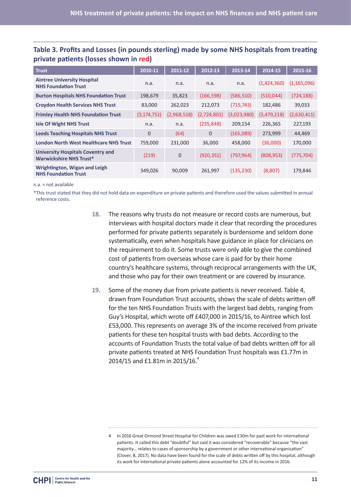| <b>Trust</b>                                                               | 2010-11        | 2011-12     | 2012-13      | 2013-14     | 2014-15     | 2015-16       |
|----------------------------------------------------------------------------|----------------|-------------|--------------|-------------|-------------|---------------|
| <b>Aintree University Hospital</b><br><b>NHS Foundation Trust</b>          | n.a.           | n.a.        | n.a.         | n.a.        | (1,424,360) | (1, 165, 096) |
| <b>Burton Hospitals NHS Foundation Trust</b>                               | 198,679        | 35,823      | (166, 598)   | (586, 510)  | (510, 044)  | (724, 188)    |
| <b>Croydon Health Services NHS Trust</b>                                   | 83,000         | 262,023     | 212,073      | (715, 743)  | 182,486     | 39,033        |
| <b>Frimley Health NHS Foundation Trust</b>                                 | (3, 174, 751)  | (2,968,518) | (2,724,801)  | (3,023,980) | (3,479,218) | (2,630,411)   |
| <b>Isle Of Wight NHS Trust</b>                                             | n.a.           | n.a.        | (235, 848)   | 209,154     | 226,365     | 227,193       |
| <b>Leeds Teaching Hospitals NHS Trust</b>                                  | $\overline{0}$ | (64)        | $\mathbf{0}$ | (165,089)   | 273,999     | 44,469        |
| <b>London North West Healthcare NHS Trust</b>                              | 759,000        | 231,000     | 36,000       | 458,000     | (36,000)    | 170,000       |
| <b>University Hospitals Coventry and</b><br><b>Warwickshire NHS Trust*</b> | (219)          | 0           | (920, 351)   | (797, 964)  | (808, 953)  | (775, 704)    |
| Wrightington, Wigan and Leigh<br><b>NHS Foundation Trust</b>               | 349,026        | 90,009      | 261,997      | (135, 230)  | (8,807)     | 179,846       |

#### **Table 3. Profits and Losses (in pounds sterling) made by some NHS hospitals from treating private patients (losses shown in red)**

n.a. = not available

\*This trust stated that they did not hold data on expenditure on private patients and therefore used the values submitted in annual reference costs.

- **18.** The reasons why trusts do not measure or record costs are numerous, but interviews with hospital doctors made it clear that recording the procedures performed for private patients separately is burdensome and seldom done systematically, even when hospitals have guidance in place for clinicians on the requirement to do it. Some trusts were only able to give the combined cost of patients from overseas whose care is paid for by their home country's healthcare systems, through reciprocal arrangements with the UK, and those who pay for their own treatment or are covered by insurance.
- **19.** Some of the money due from private patients is never received. Table 4, drawn from Foundation Trust accounts, shows the scale of debts written off for the ten NHS Foundation Trusts with the largest bad debts, ranging from Guy's Hospital, which wrote off £407,000 in 2015/16, to Aintree which lost £53,000. This represents on average 3% of the income received from private patients for these ten hospital trusts with bad debts. According to the accounts of Foundation Trusts the total value of bad debts written off for all private patients treated at NHS Foundation Trust hospitals was £1.77m in 2014/15 and £1.81m in 2015/16.<sup>4</sup>

<sup>4</sup> In 2016 Great Ormond Street Hospital for Children was owed £30m for past work for international patients. It called this debt "doubtful" but said it was considered "recoverable" because "the vast majority… relates to cases of sponsorship by a government or other international organisation" (Clover, B, 2017). No data have been found for the scale of debts written off by this hospital, although its work for international private patients alone accounted for 12% of its income in 2016.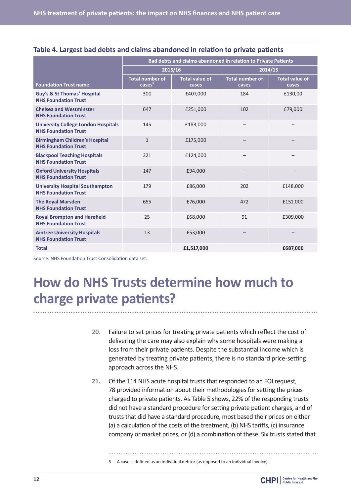|                                                                           | <b>Bad debts and claims abandoned in relation to Private Patients</b> |                                |                                 |                         |  |
|---------------------------------------------------------------------------|-----------------------------------------------------------------------|--------------------------------|---------------------------------|-------------------------|--|
|                                                                           |                                                                       | 2015/16                        | 2014/15                         |                         |  |
| <b>Foundation Trust name</b>                                              | <b>Total number of</b><br>cases                                       | <b>Total value of</b><br>cases | <b>Total number of</b><br>cases | Total value of<br>cases |  |
| <b>Guy's &amp; St Thomas' Hospital</b><br><b>NHS Foundation Trust</b>     | 300                                                                   | £407,000                       | 184                             | £130,00                 |  |
| <b>Chelsea and Westminster</b><br><b>NHS Foundation Trust</b>             | 647                                                                   | £251,000                       | 102                             | £79,000                 |  |
| <b>University College London Hospitals</b><br><b>NHS Foundation Trust</b> | 145                                                                   | £183,000                       |                                 |                         |  |
| <b>Birmingham Children's Hospital</b><br><b>NHS Foundation Trust</b>      | $\mathbf{1}$                                                          | £175,000                       |                                 |                         |  |
| <b>Blackpool Teaching Hospitals</b><br><b>NHS Foundation Trust</b>        | 321                                                                   | £124,000                       |                                 |                         |  |
| <b>Oxford University Hospitals</b><br><b>NHS Foundation Trust</b>         | 147                                                                   | £94,000                        |                                 |                         |  |
| <b>University Hospital Southampton</b><br><b>NHS Foundation Trust</b>     | 179                                                                   | £86,000                        | 202                             | £148,000                |  |
| <b>The Royal Marsden</b><br><b>NHS Foundation Trust</b>                   | 655                                                                   | £76,000                        | 472                             | £151,000                |  |
| <b>Royal Brompton and Harefield</b><br><b>NHS Foundation Trust</b>        | 25                                                                    | £68,000                        | 91                              | £309,000                |  |
| <b>Aintree University Hospitals</b><br><b>NHS Foundation Trust</b>        | 13                                                                    | £53,000                        |                                 |                         |  |
| <b>Total</b>                                                              |                                                                       | £1,517,000                     |                                 | £687,000                |  |

| Table 4. Largest bad debts and claims abandoned in relation to private patients |  |  |
|---------------------------------------------------------------------------------|--|--|
|---------------------------------------------------------------------------------|--|--|

Source: NHS Foundation Trust Consolidation data set.

# **How do NHS Trusts determine how much to charge private patients?**

- **20.** Failure to set prices for treating private patients which reflect the cost of delivering the care may also explain why some hospitals were making a loss from their private patients. Despite the substantial income which is generated by treating private patients, there is no standard price-setting approach across the NHS.
- **21.** Of the 114 NHS acute hospital trusts that responded to an FOI request, 78 provided information about their methodologies for setting the prices charged to private patients. As Table 5 shows, 22% of the responding trusts did not have a standard procedure for setting private patient charges, and of trusts that did have a standard procedure, most based their prices on either (a) a calculation of the costs of the treatment, (b) NHS tariffs, (c) insurance company or market prices, or (d) a combination of these. Six trusts stated that

5 A case is defined as an individual debtor (as opposed to an individual invoice).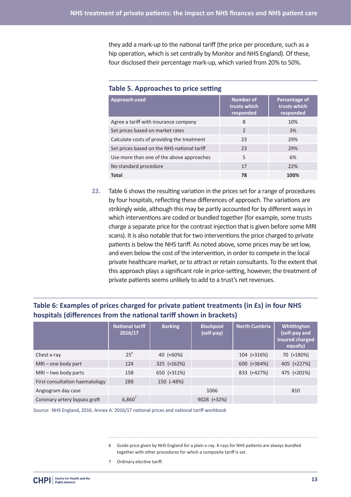they add a mark-up to the national tariff (the price per procedure, such as a hip operation, which is set centrally by Monitor and NHS England). Of these, four disclosed their percentage mark-up, which varied from 20% to 50%.

| Approach used                               | <b>Number of</b><br>trusts which<br>responded | Percentage of<br>trusts which<br>responded |
|---------------------------------------------|-----------------------------------------------|--------------------------------------------|
| Agree a tariff with insurance company       | 8                                             | 10%                                        |
| Set prices based on market rates            | $\mathcal{P}$                                 | 3%                                         |
| Calculate costs of providing the treatment  | 23                                            | 29%                                        |
| Set prices based on the NHS national tariff | 23                                            | 29%                                        |
| Use more than one of the above approaches   | 5                                             | 6%                                         |
| No standard procedure                       | 17                                            | 22%                                        |
| <b>Total</b>                                | 78                                            | 100%                                       |

#### **Table 5. Approaches to price setting**

**22.** Table 6 shows the resulting variation in the prices set for a range of procedures by four hospitals, reflecting these differences of approach. The variations are strikingly wide, although this may be partly accounted for by different ways in which interventions are coded or bundled together (for example, some trusts charge a separate price for the contrast injection that is given before some MRI scans). It is also notable that for two interventions the price charged to private patients is below the NHS tariff. As noted above, some prices may be set low, and even below the cost of the intervention, in order to compete in the local private healthcare market, or to attract or retain consultants. To the extent that this approach plays a significant role in price-setting, however, the treatment of private patients seems unlikely to add to a trust's net revenues.

#### **Table 6: Examples of prices charged for private patient treatments (in £s) in four NHS hospitals (differences from the national tariff shown in brackets)**

|                                | <b>National tariff</b><br>2016/17 | <b>Barking</b> | <b>Blackpool</b><br>(self-pay) | <b>North Cumbria</b> | Whittington<br>(self-pay and<br>insured charged<br>equally) |
|--------------------------------|-----------------------------------|----------------|--------------------------------|----------------------|-------------------------------------------------------------|
| Chest x-ray                    | $25^6$                            | 40 (+60%)      |                                | 104 (+316%)          | 70 (+180%)                                                  |
| $MRI$ – one body part          | 124                               | 325 (+162%)    |                                | 600 (+384%)          | 405 (+227%)                                                 |
| MRI-two body parts             | 158                               | 650 (+311%)    |                                | 833 (+427%)          | 475 (+201%)                                                 |
| First consultation haematology | 288                               | 150 (-48%)     |                                |                      |                                                             |
| Angiogram day case             |                                   |                | 1066                           |                      | 810                                                         |
| Coronary artery bypass graft   | $6,860^7$                         |                | 9028 (+32%)                    |                      |                                                             |

Source: NHS England, 2016. Annex A: 2016/17 national prices and national tariff workbook

- 6 Guide price given by NHS England for a plain x-ray. X-rays for NHS patients are always bundled together with other procedures for which a composite tariff is set.
- 7 Ordinary elective tariff.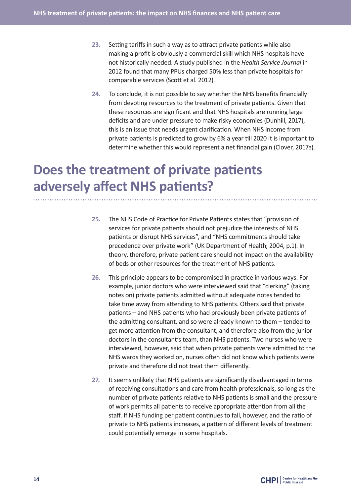- **23.** Setting tariffs in such a way as to attract private patients while also making a profit is obviously a commercial skill which NHS hospitals have not historically needed. A study published in the *Health Service Journal* in 2012 found that many PPUs charged 50% less than private hospitals for comparable services (Scott et al. 2012).
- **24.** To conclude, it is not possible to say whether the NHS benefits financially from devoting resources to the treatment of private patients. Given that these resources are significant and that NHS hospitals are running large deficits and are under pressure to make risky economies (Dunhill, 2017), this is an issue that needs urgent clarification. When NHS income from private patients is predicted to grow by 6% a year till 2020 it is important to determine whether this would represent a net financial gain (Clover, 2017a).

# **Does the treatment of private patients adversely affect NHS patients?**

- **25.** The NHS Code of Practice for Private Patients states that "provision of services for private patients should not prejudice the interests of NHS patients or disrupt NHS services", and "NHS commitments should take precedence over private work" (UK Department of Health; 2004, p.1). In theory, therefore, private patient care should not impact on the availability of beds or other resources for the treatment of NHS patients.
- **26.** This principle appears to be compromised in practice in various ways. For example, junior doctors who were interviewed said that "clerking" (taking notes on) private patients admitted without adequate notes tended to take time away from attending to NHS patients. Others said that private patients – and NHS patients who had previously been private patients of the admitting consultant, and so were already known to them – tended to get more attention from the consultant, and therefore also from the junior doctors in the consultant's team, than NHS patients. Two nurses who were interviewed, however, said that when private patients were admitted to the NHS wards they worked on, nurses often did not know which patients were private and therefore did not treat them differently.
- **27.** It seems unlikely that NHS patients are significantly disadvantaged in terms of receiving consultations and care from health professionals, so long as the number of private patients relative to NHS patients is small and the pressure of work permits all patients to receive appropriate attention from all the staff. If NHS funding per patient continues to fall, however, and the ratio of private to NHS patients increases, a pattern of different levels of treatment could potentially emerge in some hospitals.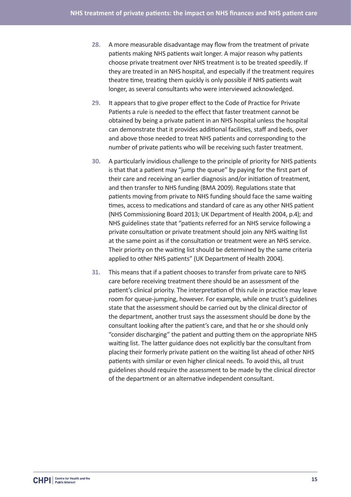- **28.** A more measurable disadvantage may flow from the treatment of private patients making NHS patients wait longer. A major reason why patients choose private treatment over NHS treatment is to be treated speedily. If they are treated in an NHS hospital, and especially if the treatment requires theatre time, treating them quickly is only possible if NHS patients wait longer, as several consultants who were interviewed acknowledged.
- **29.** It appears that to give proper effect to the Code of Practice for Private Patients a rule is needed to the effect that faster treatment cannot be obtained by being a private patient in an NHS hospital unless the hospital can demonstrate that it provides additional facilities, staff and beds, over and above those needed to treat NHS patients and corresponding to the number of private patients who will be receiving such faster treatment.
- **30.** A particularly invidious challenge to the principle of priority for NHS patients is that that a patient may "jump the queue" by paying for the first part of their care and receiving an earlier diagnosis and/or initiation of treatment, and then transfer to NHS funding (BMA 2009). Regulations state that patients moving from private to NHS funding should face the same waiting times, access to medications and standard of care as any other NHS patient (NHS Commissioning Board 2013; UK Department of Health 2004, p.4); and NHS guidelines state that "patients referred for an NHS service following a private consultation or private treatment should join any NHS waiting list at the same point as if the consultation or treatment were an NHS service. Their priority on the waiting list should be determined by the same criteria applied to other NHS patients" (UK Department of Health 2004).
- **31.** This means that if a patient chooses to transfer from private care to NHS care before receiving treatment there should be an assessment of the patient's clinical priority. The interpretation of this rule in practice may leave room for queue-jumping, however. For example, while one trust's guidelines state that the assessment should be carried out by the clinical director of the department, another trust says the assessment should be done by the consultant looking after the patient's care, and that he or she should only "consider discharging" the patient and putting them on the appropriate NHS waiting list. The latter guidance does not explicitly bar the consultant from placing their formerly private patient on the waiting list ahead of other NHS patients with similar or even higher clinical needs. To avoid this, all trust guidelines should require the assessment to be made by the clinical director of the department or an alternative independent consultant.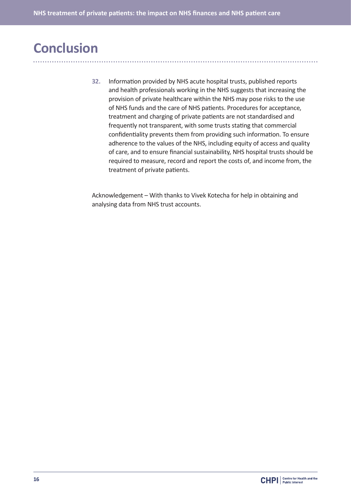## **Conclusion**

**32.** Information provided by NHS acute hospital trusts, published reports and health professionals working in the NHS suggests that increasing the provision of private healthcare within the NHS may pose risks to the use of NHS funds and the care of NHS patients. Procedures for acceptance, treatment and charging of private patients are not standardised and frequently not transparent, with some trusts stating that commercial confidentiality prevents them from providing such information. To ensure adherence to the values of the NHS, including equity of access and quality of care, and to ensure financial sustainability, NHS hospital trusts should be required to measure, record and report the costs of, and income from, the treatment of private patients.

Acknowledgement – With thanks to Vivek Kotecha for help in obtaining and analysing data from NHS trust accounts.

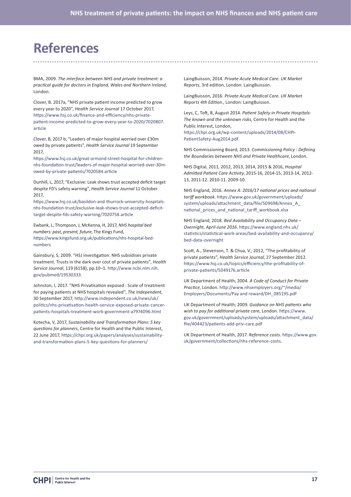## **References**

BMA, 2009. *The interface between NHS and private treatment: a practical guide for doctors in England, Wales and Northern Ireland*, London.

Clover, B. 2017a, "NHS private patient income predicted to grow every year to 2020", *Health Service Journal* 17 October 2017, https://www.hsj.co.uk/finance-and-efficiency/nhs-privatepatient-income-predicted-to-grow-every-year-to-2020/7020807. article

Clover, B, 2017 b, "Leaders of major hospital worried over £30m owed by private patients", *Health Service Journal* 19 September 2017,

https://www.hsj.co.uk/great-ormond-street-hospital-for-childrennhs-foundation-trust/leaders-of-major-hospital-worried-over-30mowed-by-private-patients/7020584.article

Dunhill, L, 2017, "Exclusive: Leak shows trust accepted deficit target despite FD's safety warning", *Health Service Journal* 11 October 2017,

https://www.hsj.co.uk/basildon-and-thurrock-university-hospitalsnhs-foundation-trust/exclusive-leak-shows-trust-accepted-deficittarget-despite-fds-safety-warning/7020758.article

Ewbank, L, Thompson, J, McKenna, H, 2017, *NHS hospital bed numbers: past, present, future*, The Kings Fund, https://www.kingsfund.org.uk/publications/nhs-hospital-bednumbers

Gainsbury, S, 2009. "HSJ investigation: NHS subsidises private treatment. Trusts in the dark over cost of private patients", *Health Service Journal*, 119 (6158), pp.10–1. http://www.ncbi.nlm.nih. gov/pubmed/19530333.

Johnston, I, 2017. "NHS Privatisation exposed : Scale of treatment for paying patients at NHS hospitals revealed", *The Independent*, 30 September 2017, http://www.independent.co.uk/news/uk/ politics/nhs-privatisation-health-service-exposed-private-cancerpatients-hospitals-treatment-work-government-a7974096.html

Kotecha, V, 2017, *Sustainability and Transformation Plans: 5 key questions for planners*, Centre for Health and the Public Interest, 22 June 2017, https://chpi.org.uk/papers/analyses/sustainabilityand-transformation-plans-5-key-questions-for-planners/

LaingBuisson, 2014. *Private Acute Medical Care. UK Market Reports*, 3rd edition, London: LaingBuisson.

LaingBuisson, 2016. *Private Acute Medical Care. UK Market Reports 4th Edition*., London: LaingBuisson.

Leys, C, Toft, B, August 2014. *Patient Safety in Private Hospitals: The known and the unknown risks*, Centre for Health and the Public Interest, London,

https://chpi.org.uk/wp-content/uploads/2014/08/CHPI-PatientSafety-Aug2014.pdf.

NHS Commissioning Board, 2013. *Commissioning Policy : Defining the Boundaries between NHS and Private Healthcare*, London.

NHS Digital, 2011, 2012, 2013, 2014, 2015 & 2016, *Hospital Admitted Patient Care Activity*, 2015-16, 2014-15, 2013-14, 2012- 13, 2011-12. 2010-11. 2009-10.

NHS England, 2016. *Annex A: 2016/17 national prices and national tariff workbook*. https://www.gov.uk/government/uploads/ system/uploads/attachment\_data/file/509698/Annex\_A\_ national\_prices\_and\_national\_tariff\_workbook.xlsx

NHS England, 2018. *Bed Availability and Occupancy Data – Overnight, April-June 2016*. https://www.england.nhs.uk/ statistics/statistical-work-areas/bed-availability-and-occupancy/ bed-data-overnight

Scott, A., Stevenson, T. & Chua, V., 2012, "The profitability of private patients", *Health Service Journal*, 27 September 2012. https://www.hsj.co.uk/topics/efficiency/the-profitability-ofprivate-patients/5049176.article

UK Department of Health; 2004. *A Code of Conduct for Private Practice*, London. http://www.nhsemployers.org/~/media/ Employers/Documents/Pay and reward/DH\_085195.pdf

UK Department of Health; 2009. *Guidance on NHS patients who wish to pay for additional private care*, London. https://www. gov.uk/government/uploads/system/uploads/attachment\_data/ file/404423/patients-add-priv-care.pdf

UK Department of Health, 2017. *Reference costs*. https://www.gov. uk/government/collections/nhs-reference-costs.